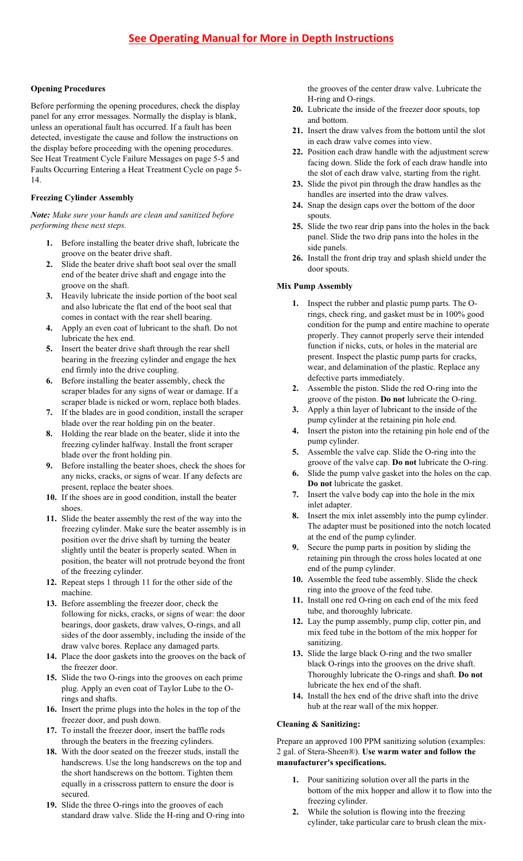## **Opening Procedures**

Before performing the opening procedures, check the display panel for any error messages. Normally the display is blank, unless an operational fault has occurred. If a fault has been detected, investigate the cause and follow the instructions on the display before proceeding with the opening procedures. See Heat Treatment Cycle Failure Messages on page 5-5 and Faults Occurring Entering a Heat Treatment Cycle on page 5- 14.

### **Freezing Cylinder Assembly**

*Note: Make sure your hands are clean and sanitized before performing these next steps.*

- **1.** Before installing the beater drive shaft, lubricate the groove on the beater drive shaft.
- **2.** Slide the beater drive shaft boot seal over the small end of the beater drive shaft and engage into the groove on the shaft.
- **3.** Heavily lubricate the inside portion of the boot seal and also lubricate the flat end of the boot seal that comes in contact with the rear shell bearing.
- **4.** Apply an even coat of lubricant to the shaft. Do not lubricate the hex end.
- **5.** Insert the beater drive shaft through the rear shell bearing in the freezing cylinder and engage the hex end firmly into the drive coupling.
- **6.** Before installing the beater assembly, check the scraper blades for any signs of wear or damage. If a scraper blade is nicked or worn, replace both blades.
- **7.** If the blades are in good condition, install the scraper blade over the rear holding pin on the beater.
- **8.** Holding the rear blade on the beater, slide it into the freezing cylinder halfway. Install the front scraper blade over the front holding pin.
- **9.** Before installing the beater shoes, check the shoes for any nicks, cracks, or signs of wear. If any defects are present, replace the beater shoes.
- **10.** If the shoes are in good condition, install the beater shoes.
- **11.** Slide the beater assembly the rest of the way into the freezing cylinder. Make sure the beater assembly is in position over the drive shaft by turning the beater slightly until the beater is properly seated. When in position, the beater will not protrude beyond the front of the freezing cylinder.
- **12.** Repeat steps 1 through 11 for the other side of the machine.
- **13.** Before assembling the freezer door, check the following for nicks, cracks, or signs of wear: the door bearings, door gaskets, draw valves, O-rings, and all sides of the door assembly, including the inside of the draw valve bores. Replace any damaged parts.
- **14.** Place the door gaskets into the grooves on the back of the freezer door.
- **15.** Slide the two O-rings into the grooves on each prime plug. Apply an even coat of Taylor Lube to the Orings and shafts.
- **16.** Insert the prime plugs into the holes in the top of the freezer door, and push down.
- **17.** To install the freezer door, insert the baffle rods through the beaters in the freezing cylinders.
- **18.** With the door seated on the freezer studs, install the handscrews. Use the long handscrews on the top and the short handscrews on the bottom. Tighten them equally in a crisscross pattern to ensure the door is secured.
- **19.** Slide the three O-rings into the grooves of each standard draw valve. Slide the H-ring and O-ring into

the grooves of the center draw valve. Lubricate the H-ring and O-rings.

- **20.** Lubricate the inside of the freezer door spouts, top and bottom.
- **21.** Insert the draw valves from the bottom until the slot in each draw valve comes into view.
- **22.** Position each draw handle with the adjustment screw facing down. Slide the fork of each draw handle into the slot of each draw valve, starting from the right.
- **23.** Slide the pivot pin through the draw handles as the handles are inserted into the draw valves.
- **24.** Snap the design caps over the bottom of the door spouts.
- **25.** Slide the two rear drip pans into the holes in the back panel. Slide the two drip pans into the holes in the side panels.
- **26.** Install the front drip tray and splash shield under the door spouts.

### **Mix Pump Assembly**

- **1.** Inspect the rubber and plastic pump parts. The Orings, check ring, and gasket must be in 100% good condition for the pump and entire machine to operate properly. They cannot properly serve their intended function if nicks, cuts, or holes in the material are present. Inspect the plastic pump parts for cracks, wear, and delamination of the plastic. Replace any defective parts immediately.
- **2.** Assemble the piston. Slide the red O-ring into the groove of the piston. **Do not** lubricate the O-ring.
- **3.** Apply a thin layer of lubricant to the inside of the pump cylinder at the retaining pin hole end.
- **4.** Insert the piston into the retaining pin hole end of the pump cylinder.
- **5.** Assemble the valve cap. Slide the O-ring into the groove of the valve cap. **Do not** lubricate the O-ring.
- **6.** Slide the pump valve gasket into the holes on the cap. **Do not** lubricate the gasket.
- **7.** Insert the valve body cap into the hole in the mix inlet adapter.
- **8.** Insert the mix inlet assembly into the pump cylinder. The adapter must be positioned into the notch located at the end of the pump cylinder.
- **9.** Secure the pump parts in position by sliding the retaining pin through the cross holes located at one end of the pump cylinder.
- **10.** Assemble the feed tube assembly. Slide the check ring into the groove of the feed tube.
- **11.** Install one red O-ring on each end of the mix feed tube, and thoroughly lubricate.
- **12.** Lay the pump assembly, pump clip, cotter pin, and mix feed tube in the bottom of the mix hopper for sanitizing.
- **13.** Slide the large black O-ring and the two smaller black O-rings into the grooves on the drive shaft. Thoroughly lubricate the O-rings and shaft. **Do not** lubricate the hex end of the shaft.
- **14.** Install the hex end of the drive shaft into the drive hub at the rear wall of the mix hopper.

# **Cleaning & Sanitizing:**

Prepare an approved 100 PPM sanitizing solution (examples: 2 gal. of Stera-Sheen®). **Use warm water and follow the manufacturer's specifications.**

- Pour sanitizing solution over all the parts in the bottom of the mix hopper and allow it to flow into the freezing cylinder.
- **2.** While the solution is flowing into the freezing cylinder, take particular care to brush clean the mix-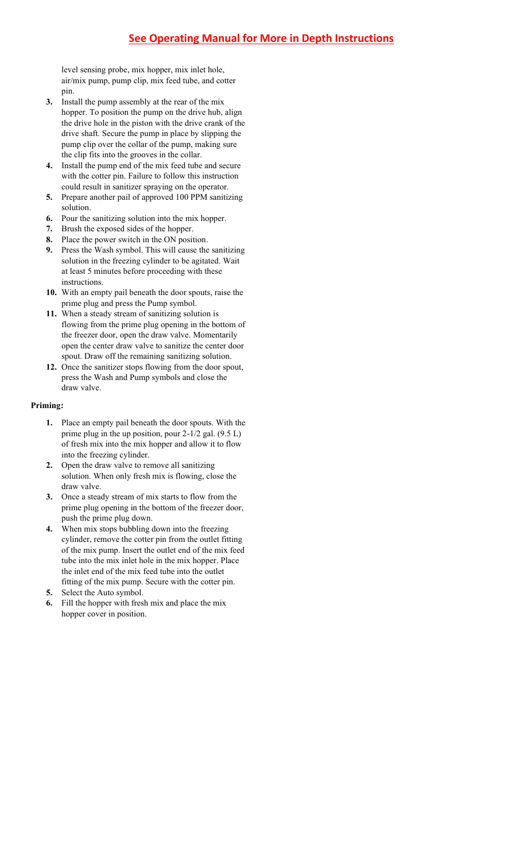level sensing probe, mix hopper, mix inlet hole, air/mix pump, pump clip, mix feed tube, and cotter pin.

- **3.** Install the pump assembly at the rear of the mix hopper. To position the pump on the drive hub, align the drive hole in the piston with the drive crank of the drive shaft. Secure the pump in place by slipping the pump clip over the collar of the pump, making sure the clip fits into the grooves in the collar.
- **4.** Install the pump end of the mix feed tube and secure with the cotter pin. Failure to follow this instruction could result in sanitizer spraying on the operator.
- **5.** Prepare another pail of approved 100 PPM sanitizing solution.
- **6.** Pour the sanitizing solution into the mix hopper.
- **7.** Brush the exposed sides of the hopper.
- **8.** Place the power switch in the ON position.
- **9.** Press the Wash symbol. This will cause the sanitizing solution in the freezing cylinder to be agitated. Wait at least 5 minutes before proceeding with these instructions.
- **10.** With an empty pail beneath the door spouts, raise the prime plug and press the Pump symbol.
- **11.** When a steady stream of sanitizing solution is flowing from the prime plug opening in the bottom of the freezer door, open the draw valve. Momentarily open the center draw valve to sanitize the center door spout. Draw off the remaining sanitizing solution.
- **12.** Once the sanitizer stops flowing from the door spout, press the Wash and Pump symbols and close the draw valve.

#### **Priming:**

- **1.** Place an empty pail beneath the door spouts. With the prime plug in the up position, pour 2-1/2 gal. (9.5 L) of fresh mix into the mix hopper and allow it to flow into the freezing cylinder.
- **2.** Open the draw valve to remove all sanitizing solution. When only fresh mix is flowing, close the draw valve.
- **3.** Once a steady stream of mix starts to flow from the prime plug opening in the bottom of the freezer door, push the prime plug down.
- **4.** When mix stops bubbling down into the freezing cylinder, remove the cotter pin from the outlet fitting of the mix pump. Insert the outlet end of the mix feed tube into the mix inlet hole in the mix hopper. Place the inlet end of the mix feed tube into the outlet fitting of the mix pump. Secure with the cotter pin.
- **5.** Select the Auto symbol.
- **6.** Fill the hopper with fresh mix and place the mix hopper cover in position.